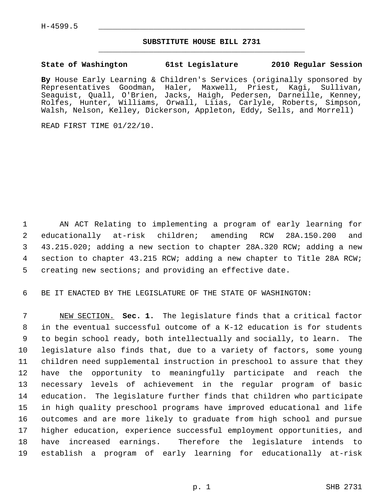## **SUBSTITUTE HOUSE BILL 2731** \_\_\_\_\_\_\_\_\_\_\_\_\_\_\_\_\_\_\_\_\_\_\_\_\_\_\_\_\_\_\_\_\_\_\_\_\_\_\_\_\_\_\_\_\_

## **State of Washington 61st Legislature 2010 Regular Session**

**By** House Early Learning & Children's Services (originally sponsored by Representatives Goodman, Haler, Maxwell, Priest, Kagi, Sullivan, Seaquist, Quall, O'Brien, Jacks, Haigh, Pedersen, Darneille, Kenney, Rolfes, Hunter, Williams, Orwall, Liias, Carlyle, Roberts, Simpson, Walsh, Nelson, Kelley, Dickerson, Appleton, Eddy, Sells, and Morrell)

READ FIRST TIME 01/22/10.

 1 AN ACT Relating to implementing a program of early learning for 2 educationally at-risk children; amending RCW 28A.150.200 and 3 43.215.020; adding a new section to chapter 28A.320 RCW; adding a new 4 section to chapter 43.215 RCW; adding a new chapter to Title 28A RCW; 5 creating new sections; and providing an effective date.

6 BE IT ENACTED BY THE LEGISLATURE OF THE STATE OF WASHINGTON:

 7 NEW SECTION. **Sec. 1.** The legislature finds that a critical factor 8 in the eventual successful outcome of a K-12 education is for students 9 to begin school ready, both intellectually and socially, to learn. The 10 legislature also finds that, due to a variety of factors, some young 11 children need supplemental instruction in preschool to assure that they 12 have the opportunity to meaningfully participate and reach the 13 necessary levels of achievement in the regular program of basic 14 education. The legislature further finds that children who participate 15 in high quality preschool programs have improved educational and life 16 outcomes and are more likely to graduate from high school and pursue 17 higher education, experience successful employment opportunities, and 18 have increased earnings. Therefore the legislature intends to 19 establish a program of early learning for educationally at-risk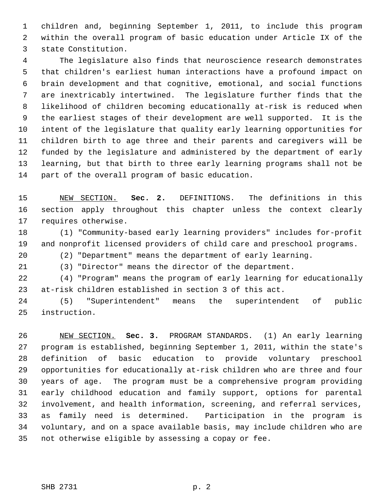1 children and, beginning September 1, 2011, to include this program 2 within the overall program of basic education under Article IX of the 3 state Constitution.

 4 The legislature also finds that neuroscience research demonstrates 5 that children's earliest human interactions have a profound impact on 6 brain development and that cognitive, emotional, and social functions 7 are inextricably intertwined. The legislature further finds that the 8 likelihood of children becoming educationally at-risk is reduced when 9 the earliest stages of their development are well supported. It is the 10 intent of the legislature that quality early learning opportunities for 11 children birth to age three and their parents and caregivers will be 12 funded by the legislature and administered by the department of early 13 learning, but that birth to three early learning programs shall not be 14 part of the overall program of basic education.

15 NEW SECTION. **Sec. 2.** DEFINITIONS. The definitions in this 16 section apply throughout this chapter unless the context clearly 17 requires otherwise.

18 (1) "Community-based early learning providers" includes for-profit 19 and nonprofit licensed providers of child care and preschool programs.

20 (2) "Department" means the department of early learning.

21 (3) "Director" means the director of the department.

22 (4) "Program" means the program of early learning for educationally 23 at-risk children established in section 3 of this act.

24 (5) "Superintendent" means the superintendent of public 25 instruction.

26 NEW SECTION. **Sec. 3.** PROGRAM STANDARDS. (1) An early learning 27 program is established, beginning September 1, 2011, within the state's 28 definition of basic education to provide voluntary preschool 29 opportunities for educationally at-risk children who are three and four 30 years of age. The program must be a comprehensive program providing 31 early childhood education and family support, options for parental 32 involvement, and health information, screening, and referral services, 33 as family need is determined. Participation in the program is 34 voluntary, and on a space available basis, may include children who are 35 not otherwise eligible by assessing a copay or fee.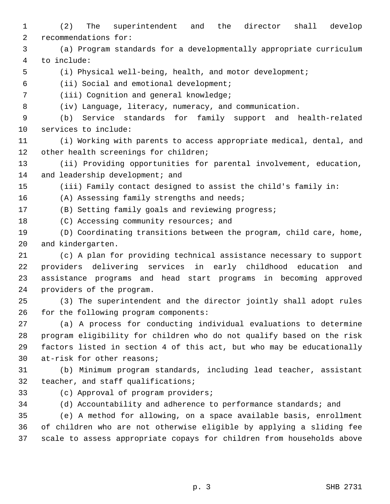- 1 (2) The superintendent and the director shall develop 2 recommendations for:
- 3 (a) Program standards for a developmentally appropriate curriculum 4 to include:
- 

5 (i) Physical well-being, health, and motor development;

6 (ii) Social and emotional development;

- 7 (iii) Cognition and general knowledge;
- 

8 (iv) Language, literacy, numeracy, and communication.

 9 (b) Service standards for family support and health-related 10 services to include:

11 (i) Working with parents to access appropriate medical, dental, and 12 other health screenings for children;

13 (ii) Providing opportunities for parental involvement, education, 14 and leadership development; and

15 (iii) Family contact designed to assist the child's family in:

16 (A) Assessing family strengths and needs;

17 (B) Setting family goals and reviewing progress;

18 (C) Accessing community resources; and

19 (D) Coordinating transitions between the program, child care, home, 20 and kindergarten.

21 (c) A plan for providing technical assistance necessary to support 22 providers delivering services in early childhood education and 23 assistance programs and head start programs in becoming approved 24 providers of the program.

25 (3) The superintendent and the director jointly shall adopt rules 26 for the following program components:

27 (a) A process for conducting individual evaluations to determine 28 program eligibility for children who do not qualify based on the risk 29 factors listed in section 4 of this act, but who may be educationally 30 at-risk for other reasons;

31 (b) Minimum program standards, including lead teacher, assistant 32 teacher, and staff qualifications;

33 (c) Approval of program providers;

34 (d) Accountability and adherence to performance standards; and

35 (e) A method for allowing, on a space available basis, enrollment 36 of children who are not otherwise eligible by applying a sliding fee 37 scale to assess appropriate copays for children from households above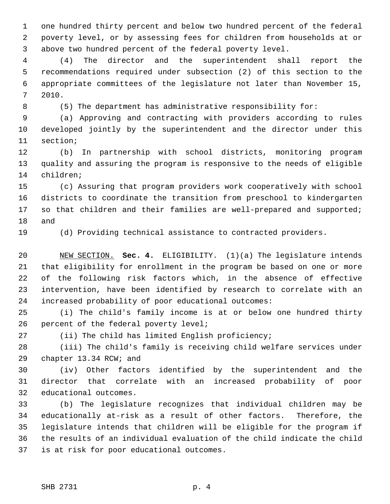1 one hundred thirty percent and below two hundred percent of the federal 2 poverty level, or by assessing fees for children from households at or 3 above two hundred percent of the federal poverty level.

 4 (4) The director and the superintendent shall report the 5 recommendations required under subsection (2) of this section to the 6 appropriate committees of the legislature not later than November 15, 7 2010.

8 (5) The department has administrative responsibility for:

 9 (a) Approving and contracting with providers according to rules 10 developed jointly by the superintendent and the director under this 11 section;

12 (b) In partnership with school districts, monitoring program 13 quality and assuring the program is responsive to the needs of eligible 14 children;

15 (c) Assuring that program providers work cooperatively with school 16 districts to coordinate the transition from preschool to kindergarten 17 so that children and their families are well-prepared and supported; 18 and

19 (d) Providing technical assistance to contracted providers.

20 NEW SECTION. **Sec. 4.** ELIGIBILITY. (1)(a) The legislature intends 21 that eligibility for enrollment in the program be based on one or more 22 of the following risk factors which, in the absence of effective 23 intervention, have been identified by research to correlate with an 24 increased probability of poor educational outcomes:

25 (i) The child's family income is at or below one hundred thirty 26 percent of the federal poverty level;

27 (ii) The child has limited English proficiency;

28 (iii) The child's family is receiving child welfare services under 29 chapter 13.34 RCW; and

30 (iv) Other factors identified by the superintendent and the 31 director that correlate with an increased probability of poor 32 educational outcomes.

33 (b) The legislature recognizes that individual children may be 34 educationally at-risk as a result of other factors. Therefore, the 35 legislature intends that children will be eligible for the program if 36 the results of an individual evaluation of the child indicate the child 37 is at risk for poor educational outcomes.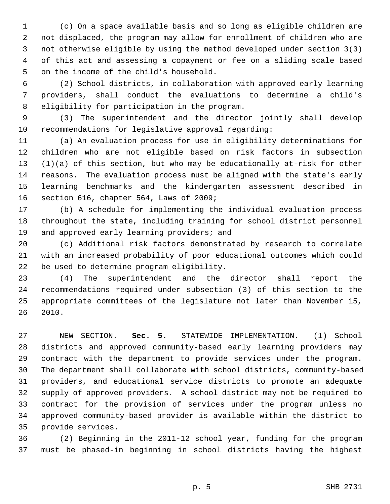1 (c) On a space available basis and so long as eligible children are 2 not displaced, the program may allow for enrollment of children who are 3 not otherwise eligible by using the method developed under section 3(3) 4 of this act and assessing a copayment or fee on a sliding scale based 5 on the income of the child's household.

 6 (2) School districts, in collaboration with approved early learning 7 providers, shall conduct the evaluations to determine a child's 8 eligibility for participation in the program.

 9 (3) The superintendent and the director jointly shall develop 10 recommendations for legislative approval regarding:

11 (a) An evaluation process for use in eligibility determinations for 12 children who are not eligible based on risk factors in subsection 13 (1)(a) of this section, but who may be educationally at-risk for other 14 reasons. The evaluation process must be aligned with the state's early 15 learning benchmarks and the kindergarten assessment described in 16 section 616, chapter 564, Laws of 2009;

17 (b) A schedule for implementing the individual evaluation process 18 throughout the state, including training for school district personnel 19 and approved early learning providers; and

20 (c) Additional risk factors demonstrated by research to correlate 21 with an increased probability of poor educational outcomes which could 22 be used to determine program eligibility.

23 (4) The superintendent and the director shall report the 24 recommendations required under subsection (3) of this section to the 25 appropriate committees of the legislature not later than November 15, 26 2010.

27 NEW SECTION. **Sec. 5.** STATEWIDE IMPLEMENTATION. (1) School 28 districts and approved community-based early learning providers may 29 contract with the department to provide services under the program. 30 The department shall collaborate with school districts, community-based 31 providers, and educational service districts to promote an adequate 32 supply of approved providers. A school district may not be required to 33 contract for the provision of services under the program unless no 34 approved community-based provider is available within the district to 35 provide services.

36 (2) Beginning in the 2011-12 school year, funding for the program 37 must be phased-in beginning in school districts having the highest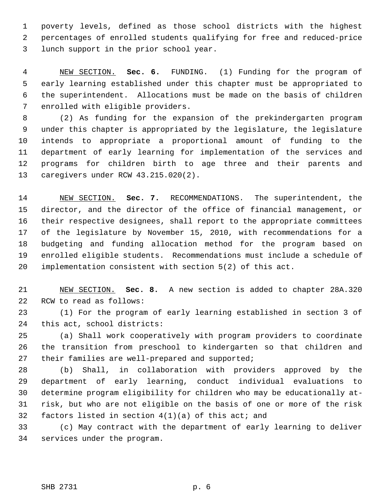1 poverty levels, defined as those school districts with the highest 2 percentages of enrolled students qualifying for free and reduced-price 3 lunch support in the prior school year.

 4 NEW SECTION. **Sec. 6.** FUNDING. (1) Funding for the program of 5 early learning established under this chapter must be appropriated to 6 the superintendent. Allocations must be made on the basis of children 7 enrolled with eligible providers.

 8 (2) As funding for the expansion of the prekindergarten program 9 under this chapter is appropriated by the legislature, the legislature 10 intends to appropriate a proportional amount of funding to the 11 department of early learning for implementation of the services and 12 programs for children birth to age three and their parents and 13 caregivers under RCW 43.215.020(2).

14 NEW SECTION. **Sec. 7.** RECOMMENDATIONS. The superintendent, the 15 director, and the director of the office of financial management, or 16 their respective designees, shall report to the appropriate committees 17 of the legislature by November 15, 2010, with recommendations for a 18 budgeting and funding allocation method for the program based on 19 enrolled eligible students. Recommendations must include a schedule of 20 implementation consistent with section 5(2) of this act.

21 NEW SECTION. **Sec. 8.** A new section is added to chapter 28A.320 22 RCW to read as follows:

23 (1) For the program of early learning established in section 3 of 24 this act, school districts:

25 (a) Shall work cooperatively with program providers to coordinate 26 the transition from preschool to kindergarten so that children and 27 their families are well-prepared and supported;

28 (b) Shall, in collaboration with providers approved by the 29 department of early learning, conduct individual evaluations to 30 determine program eligibility for children who may be educationally at-31 risk, but who are not eligible on the basis of one or more of the risk 32 factors listed in section  $4(1)(a)$  of this act; and

33 (c) May contract with the department of early learning to deliver 34 services under the program.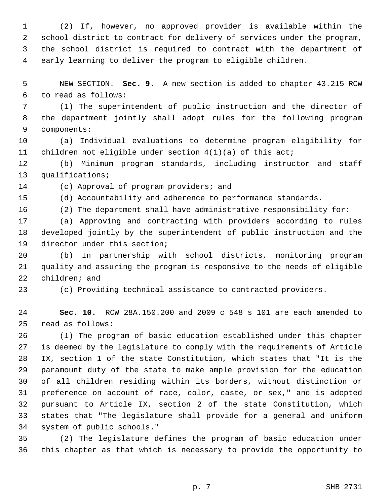1 (2) If, however, no approved provider is available within the 2 school district to contract for delivery of services under the program, 3 the school district is required to contract with the department of 4 early learning to deliver the program to eligible children.

 5 NEW SECTION. **Sec. 9.** A new section is added to chapter 43.215 RCW 6 to read as follows:

 7 (1) The superintendent of public instruction and the director of 8 the department jointly shall adopt rules for the following program 9 components:

10 (a) Individual evaluations to determine program eligibility for 11 children not eligible under section 4(1)(a) of this act;

12 (b) Minimum program standards, including instructor and staff 13 qualifications;

14 (c) Approval of program providers; and

15 (d) Accountability and adherence to performance standards.

16 (2) The department shall have administrative responsibility for:

17 (a) Approving and contracting with providers according to rules 18 developed jointly by the superintendent of public instruction and the 19 director under this section;

20 (b) In partnership with school districts, monitoring program 21 quality and assuring the program is responsive to the needs of eligible 22 children; and

23 (c) Providing technical assistance to contracted providers.

24 **Sec. 10.** RCW 28A.150.200 and 2009 c 548 s 101 are each amended to 25 read as follows:

26 (1) The program of basic education established under this chapter 27 is deemed by the legislature to comply with the requirements of Article 28 IX, section 1 of the state Constitution, which states that "It is the 29 paramount duty of the state to make ample provision for the education 30 of all children residing within its borders, without distinction or 31 preference on account of race, color, caste, or sex," and is adopted 32 pursuant to Article IX, section 2 of the state Constitution, which 33 states that "The legislature shall provide for a general and uniform 34 system of public schools."

35 (2) The legislature defines the program of basic education under 36 this chapter as that which is necessary to provide the opportunity to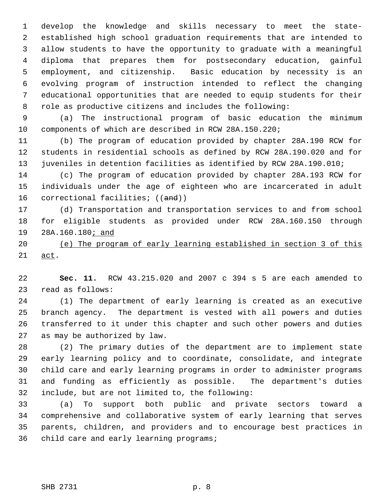1 develop the knowledge and skills necessary to meet the state- 2 established high school graduation requirements that are intended to 3 allow students to have the opportunity to graduate with a meaningful 4 diploma that prepares them for postsecondary education, gainful 5 employment, and citizenship. Basic education by necessity is an 6 evolving program of instruction intended to reflect the changing 7 educational opportunities that are needed to equip students for their 8 role as productive citizens and includes the following:

 9 (a) The instructional program of basic education the minimum 10 components of which are described in RCW 28A.150.220;

11 (b) The program of education provided by chapter 28A.190 RCW for 12 students in residential schools as defined by RCW 28A.190.020 and for 13 juveniles in detention facilities as identified by RCW 28A.190.010;

14 (c) The program of education provided by chapter 28A.193 RCW for 15 individuals under the age of eighteen who are incarcerated in adult 16 correctional facilities; ((and))

17 (d) Transportation and transportation services to and from school 18 for eligible students as provided under RCW 28A.160.150 through 19 28A.160.180; and

20 (e) The program of early learning established in section 3 of this 21 act.

22 **Sec. 11.** RCW 43.215.020 and 2007 c 394 s 5 are each amended to 23 read as follows:

24 (1) The department of early learning is created as an executive 25 branch agency. The department is vested with all powers and duties 26 transferred to it under this chapter and such other powers and duties 27 as may be authorized by law.

28 (2) The primary duties of the department are to implement state 29 early learning policy and to coordinate, consolidate, and integrate 30 child care and early learning programs in order to administer programs 31 and funding as efficiently as possible. The department's duties 32 include, but are not limited to, the following:

33 (a) To support both public and private sectors toward a 34 comprehensive and collaborative system of early learning that serves 35 parents, children, and providers and to encourage best practices in 36 child care and early learning programs;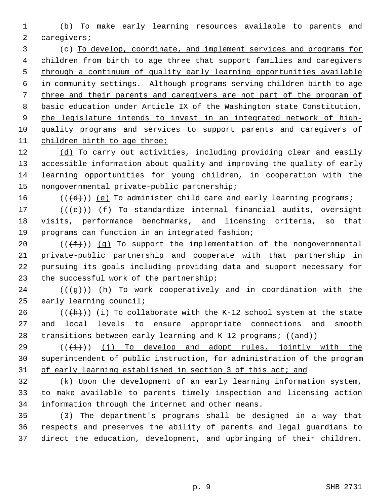1 (b) To make early learning resources available to parents and 2 caregivers;

 3 (c) To develop, coordinate, and implement services and programs for children from birth to age three that support families and caregivers through a continuum of quality early learning opportunities available in community settings. Although programs serving children birth to age three and their parents and caregivers are not part of the program of basic education under Article IX of the Washington state Constitution, the legislature intends to invest in an integrated network of high- quality programs and services to support parents and caregivers of children birth to age three;

12 (d) To carry out activities, including providing clear and easily 13 accessible information about quality and improving the quality of early 14 learning opportunities for young children, in cooperation with the 15 nongovernmental private-public partnership;

16  $((\{d\}))(e)$  To administer child care and early learning programs;

17  $((\{e\})$  (f) To standardize internal financial audits, oversight 18 visits, performance benchmarks, and licensing criteria, so that 19 programs can function in an integrated fashion;

20  $((\text{+f}))(q)$  To support the implementation of the nongovernmental 21 private-public partnership and cooperate with that partnership in 22 pursuing its goals including providing data and support necessary for 23 the successful work of the partnership;

 $24$  (( $\left(\frac{1}{9}\right)$ ) (h) To work cooperatively and in coordination with the 25 early learning council;

26 ( $(\frac{h}{h})$ ) (i) To collaborate with the K-12 school system at the state 27 and local levels to ensure appropriate connections and smooth 28 transitions between early learning and  $K-12$  programs;  $((and))$ 

29  $((\overrightarrow{t}))(j)$  (j) To develop and adopt rules, jointly with the 30 superintendent of public instruction, for administration of the program 31 of early learning established in section 3 of this act; and

32 (k) Upon the development of an early learning information system, 33 to make available to parents timely inspection and licensing action 34 information through the internet and other means.

35 (3) The department's programs shall be designed in a way that 36 respects and preserves the ability of parents and legal guardians to 37 direct the education, development, and upbringing of their children.